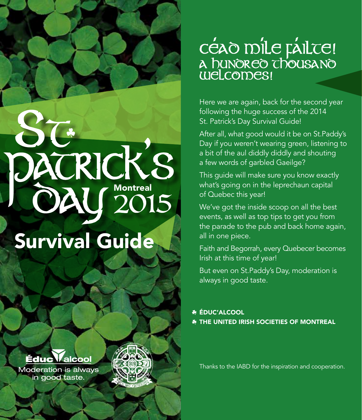# CEAO M'ÎLE FAILTE!<br>A hunoreo chousano<br>welcomes!

Here we are again, back for the second year following the huge success of the 2014 St. Patrick's Day Survival Guide!

After all, what good would it be on St.Paddy's Day if you weren't wearing green, listening to a bit of the aul diddly diddly and shouting a few words of garbled Gaeilge?

This guide will make sure you know exactly what's going on in the leprechaun capital of Quebec this year!

We've got the inside scoop on all the best events, as well as top tips to get you from the parade to the pub and back home again, all in one piece.

Faith and Begorrah, every Quebecer becomes Irish at this time of year!

But even on St.Paddy's Day, moderation is always in good taste.

**\* ÉDUC'ALCOOL** The United Irish Societies of MontrEal

Thanks to the IABD for the inspiration and cooperation.

Survival Guide DACRICKS<br>OAU 2015



**Moderation is always** in good taste.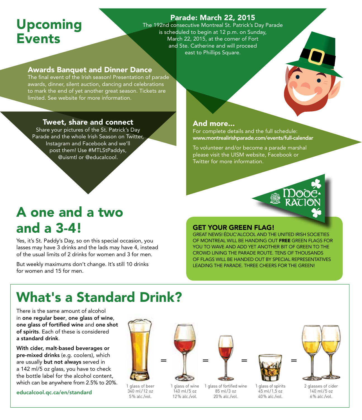## Upcoming **Events**

## Parade: March 22, 2015

The 192nd consecutive Montreal St. Patrick's Day Parade is scheduled to begin at 12 p.m. on Sunday, March 22, 2015, at the corner of Fort and Ste. Catherine and will proceed east to Phillips Square.

### Awards Banquet and Dinner Dance

The final event of the Irish season! Presentation of parade awards, dinner, silent auction, dancing and celebrations to mark the end of yet another great season. Tickets are limited. See website for more information.

#### Tweet, share and connect

Share your pictures of the St. Patrick's Day Parade and the whole Irish Season on Twitter, Instagram and Facebook and we'll post them! Use #MTLStPaddys, @uismtl or @educalcool.

## A one and a two and a 3-4!

Yes, it's St. Paddy's Day, so on this special occasion, you lasses may have 3 drinks and the lads may have 4, instead of the usual limits of 2 drinks for women and 3 for men.

But weekly maximums don't change. It's still 10 drinks for women and 15 for men.

#### And more...

For complete details and the full schedule: www.montrealirishparade.com/events/full-calendar

To volunteer and/or become a parade marshal please visit the UISM website, Facebook or Twitter for more information.



#### Get your green flag!

Great news! Éduc'alcool and the United Irish Societies of Montreal will be handing out free green flags for you to wave and add yet another bit of green to the crowd lining the parade route. Tens of thousands of flags will be handed out by special representatives leading the parade. Three cheers for the green!

# What's a Standard Drink?

There is the same amount of alcohol in one regular beer, one glass of wine, one glass of fortified wine and one shot of spirits. Each of these is considered a standard drink.

With cider, malt-based beverages or pre-mixed drinks (e.g. coolers), which are usually but not always served in a 142 ml/5 oz glass, you have to check the bottle label for the alcohol content, which can be anywhere from 2.5% to 20%.

educalcool.qc.ca/en/standard